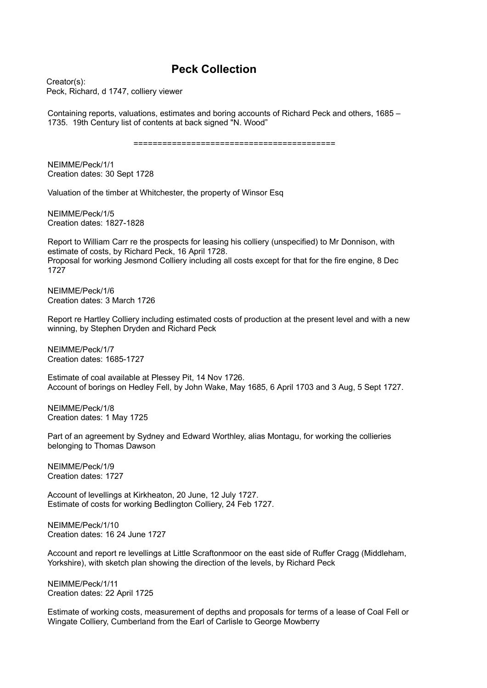## **Peck Collection**

Creator(s): Peck, Richard, d 1747, colliery viewer

Containing reports, valuations, estimates and boring accounts of Richard Peck and others, 1685 – 1735. 19th Century list of contents at back signed "N. Wood"

==========================================

NEIMME/Peck/1/1 Creation dates: 30 Sept 1728

Valuation of the timber at Whitchester, the property of Winsor Esq

NEIMME/Peck/1/5 Creation dates: 1827-1828

Report to William Carr re the prospects for leasing his colliery (unspecified) to Mr Donnison, with estimate of costs, by Richard Peck, 16 April 1728. Proposal for working Jesmond Colliery including all costs except for that for the fire engine, 8 Dec 1727

NEIMME/Peck/1/6 Creation dates: 3 March 1726

Report re Hartley Colliery including estimated costs of production at the present level and with a new winning, by Stephen Dryden and Richard Peck

NEIMME/Peck/1/7 Creation dates: 1685-1727

Estimate of coal available at Plessey Pit, 14 Nov 1726. Account of borings on Hedley Fell, by John Wake, May 1685, 6 April 1703 and 3 Aug, 5 Sept 1727.

NEIMME/Peck/1/8 Creation dates: 1 May 1725

Part of an agreement by Sydney and Edward Worthley, alias Montagu, for working the collieries belonging to Thomas Dawson

NEIMME/Peck/1/9 Creation dates: 1727

Account of levellings at Kirkheaton, 20 June, 12 July 1727. Estimate of costs for working Bedlington Colliery, 24 Feb 1727.

NEIMME/Peck/1/10 Creation dates: 16 24 June 1727

Account and report re levellings at Little Scraftonmoor on the east side of Ruffer Cragg (Middleham, Yorkshire), with sketch plan showing the direction of the levels, by Richard Peck

NEIMME/Peck/1/11 Creation dates: 22 April 1725

Estimate of working costs, measurement of depths and proposals for terms of a lease of Coal Fell or Wingate Colliery, Cumberland from the Earl of Carlisle to George Mowberry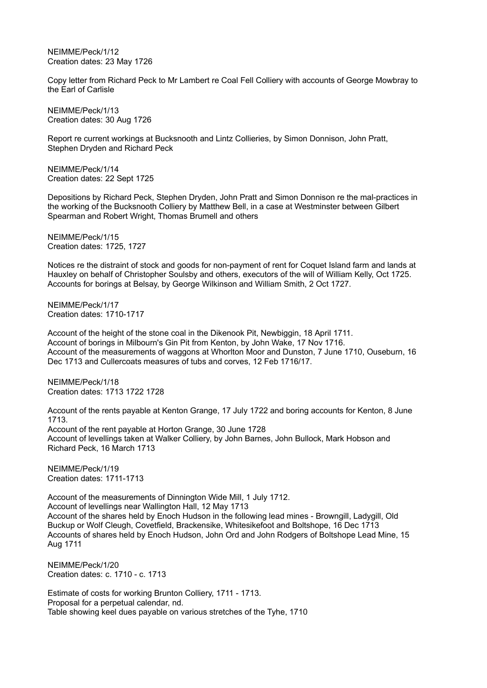NEIMME/Peck/1/12 Creation dates: 23 May 1726

Copy letter from Richard Peck to Mr Lambert re Coal Fell Colliery with accounts of George Mowbray to the Earl of Carlisle

NEIMME/Peck/1/13 Creation dates: 30 Aug 1726

Report re current workings at Bucksnooth and Lintz Collieries, by Simon Donnison, John Pratt, Stephen Dryden and Richard Peck

NEIMME/Peck/1/14 Creation dates: 22 Sept 1725

Depositions by Richard Peck, Stephen Dryden, John Pratt and Simon Donnison re the mal-practices in the working of the Bucksnooth Colliery by Matthew Bell, in a case at Westminster between Gilbert Spearman and Robert Wright, Thomas Brumell and others

NEIMME/Peck/1/15 Creation dates: 1725, 1727

Notices re the distraint of stock and goods for non-payment of rent for Coquet Island farm and lands at Hauxley on behalf of Christopher Soulsby and others, executors of the will of William Kelly, Oct 1725. Accounts for borings at Belsay, by George Wilkinson and William Smith, 2 Oct 1727.

NEIMME/Peck/1/17 Creation dates: 1710-1717

Account of the height of the stone coal in the Dikenook Pit, Newbiggin, 18 April 1711. Account of borings in Milbourn's Gin Pit from Kenton, by John Wake, 17 Nov 1716. Account of the measurements of waggons at Whorlton Moor and Dunston, 7 June 1710, Ouseburn, 16 Dec 1713 and Cullercoats measures of tubs and corves, 12 Feb 1716/17.

NEIMME/Peck/1/18 Creation dates: 1713 1722 1728

Account of the rents payable at Kenton Grange, 17 July 1722 and boring accounts for Kenton, 8 June 1713. Account of the rent payable at Horton Grange, 30 June 1728 Account of levellings taken at Walker Colliery, by John Barnes, John Bullock, Mark Hobson and Richard Peck, 16 March 1713

NEIMME/Peck/1/19 Creation dates: 1711-1713

Account of the measurements of Dinnington Wide Mill, 1 July 1712. Account of levellings near Wallington Hall, 12 May 1713 Account of the shares held by Enoch Hudson in the following lead mines - Browngill, Ladygill, Old Buckup or Wolf Cleugh, Covetfield, Brackensike, Whitesikefoot and Boltshope, 16 Dec 1713 Accounts of shares held by Enoch Hudson, John Ord and John Rodgers of Boltshope Lead Mine, 15 Aug 1711

NEIMME/Peck/1/20 Creation dates: c. 1710 - c. 1713

Estimate of costs for working Brunton Colliery, 1711 - 1713. Proposal for a perpetual calendar, nd. Table showing keel dues payable on various stretches of the Tyhe, 1710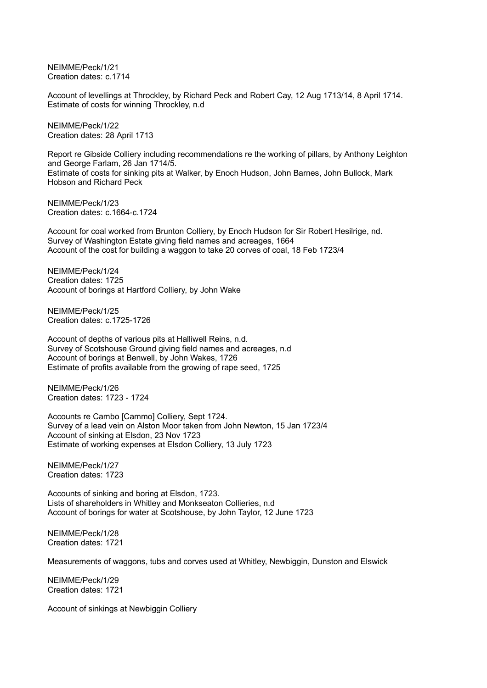NEIMME/Peck/1/21 Creation dates: c.1714

Account of levellings at Throckley, by Richard Peck and Robert Cay, 12 Aug 1713/14, 8 April 1714. Estimate of costs for winning Throckley, n.d

NEIMME/Peck/1/22 Creation dates: 28 April 1713

Report re Gibside Colliery including recommendations re the working of pillars, by Anthony Leighton and George Farlam, 26 Jan 1714/5. Estimate of costs for sinking pits at Walker, by Enoch Hudson, John Barnes, John Bullock, Mark Hobson and Richard Peck

NEIMME/Peck/1/23 Creation dates: c.1664-c.1724

Account for coal worked from Brunton Colliery, by Enoch Hudson for Sir Robert Hesilrige, nd. Survey of Washington Estate giving field names and acreages, 1664 Account of the cost for building a waggon to take 20 corves of coal, 18 Feb 1723/4

NEIMME/Peck/1/24 Creation dates: 1725 Account of borings at Hartford Colliery, by John Wake

NEIMME/Peck/1/25 Creation dates: c.1725-1726

Account of depths of various pits at Halliwell Reins, n.d. Survey of Scotshouse Ground giving field names and acreages, n.d Account of borings at Benwell, by John Wakes, 1726 Estimate of profits available from the growing of rape seed, 1725

NEIMME/Peck/1/26 Creation dates: 1723 - 1724

Accounts re Cambo [Cammo] Colliery, Sept 1724. Survey of a lead vein on Alston Moor taken from John Newton, 15 Jan 1723/4 Account of sinking at Elsdon, 23 Nov 1723 Estimate of working expenses at Elsdon Colliery, 13 July 1723

NEIMME/Peck/1/27 Creation dates: 1723

Accounts of sinking and boring at Elsdon, 1723. Lists of shareholders in Whitley and Monkseaton Collieries, n.d Account of borings for water at Scotshouse, by John Taylor, 12 June 1723

NEIMME/Peck/1/28 Creation dates: 1721

Measurements of waggons, tubs and corves used at Whitley, Newbiggin, Dunston and Elswick

NEIMME/Peck/1/29 Creation dates: 1721

Account of sinkings at Newbiggin Colliery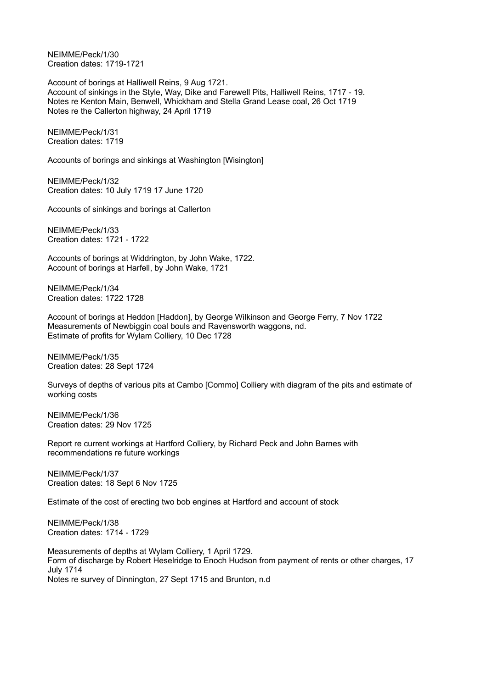NEIMME/Peck/1/30 Creation dates: 1719-1721

Account of borings at Halliwell Reins, 9 Aug 1721. Account of sinkings in the Style, Way, Dike and Farewell Pits, Halliwell Reins, 1717 - 19. Notes re Kenton Main, Benwell, Whickham and Stella Grand Lease coal, 26 Oct 1719 Notes re the Callerton highway, 24 April 1719

NEIMME/Peck/1/31 Creation dates: 1719

Accounts of borings and sinkings at Washington [Wisington]

NEIMME/Peck/1/32 Creation dates: 10 July 1719 17 June 1720

Accounts of sinkings and borings at Callerton

NEIMME/Peck/1/33 Creation dates: 1721 - 1722

Accounts of borings at Widdrington, by John Wake, 1722. Account of borings at Harfell, by John Wake, 1721

NEIMME/Peck/1/34 Creation dates: 1722 1728

Account of borings at Heddon [Haddon], by George Wilkinson and George Ferry, 7 Nov 1722 Measurements of Newbiggin coal bouls and Ravensworth waggons, nd. Estimate of profits for Wylam Colliery, 10 Dec 1728

NEIMME/Peck/1/35 Creation dates: 28 Sept 1724

Surveys of depths of various pits at Cambo [Commo] Colliery with diagram of the pits and estimate of working costs

NEIMME/Peck/1/36 Creation dates: 29 Nov 1725

Report re current workings at Hartford Colliery, by Richard Peck and John Barnes with recommendations re future workings

NEIMME/Peck/1/37 Creation dates: 18 Sept 6 Nov 1725

Estimate of the cost of erecting two bob engines at Hartford and account of stock

NEIMME/Peck/1/38 Creation dates: 1714 - 1729

Measurements of depths at Wylam Colliery, 1 April 1729. Form of discharge by Robert Heselridge to Enoch Hudson from payment of rents or other charges, 17 July 1714 Notes re survey of Dinnington, 27 Sept 1715 and Brunton, n.d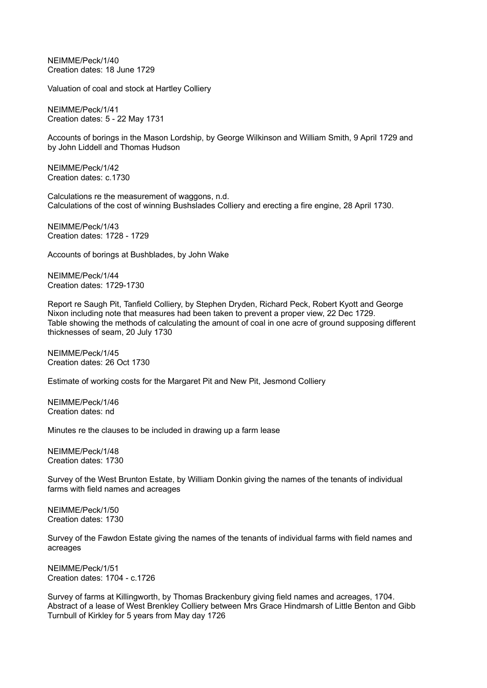NEIMME/Peck/1/40 Creation dates: 18 June 1729

Valuation of coal and stock at Hartley Colliery

NEIMME/Peck/1/41 Creation dates: 5 - 22 May 1731

Accounts of borings in the Mason Lordship, by George Wilkinson and William Smith, 9 April 1729 and by John Liddell and Thomas Hudson

NEIMME/Peck/1/42 Creation dates: c.1730

Calculations re the measurement of waggons, n.d. Calculations of the cost of winning Bushslades Colliery and erecting a fire engine, 28 April 1730.

NEIMME/Peck/1/43 Creation dates: 1728 - 1729

Accounts of borings at Bushblades, by John Wake

NEIMME/Peck/1/44 Creation dates: 1729-1730

Report re Saugh Pit, Tanfield Colliery, by Stephen Dryden, Richard Peck, Robert Kyott and George Nixon including note that measures had been taken to prevent a proper view, 22 Dec 1729. Table showing the methods of calculating the amount of coal in one acre of ground supposing different thicknesses of seam, 20 July 1730

NEIMME/Peck/1/45 Creation dates: 26 Oct 1730

Estimate of working costs for the Margaret Pit and New Pit, Jesmond Colliery

NEIMME/Peck/1/46 Creation dates: nd

Minutes re the clauses to be included in drawing up a farm lease

NEIMME/Peck/1/48 Creation dates: 1730

Survey of the West Brunton Estate, by William Donkin giving the names of the tenants of individual farms with field names and acreages

NEIMME/Peck/1/50 Creation dates: 1730

Survey of the Fawdon Estate giving the names of the tenants of individual farms with field names and acreages

NEIMME/Peck/1/51 Creation dates: 1704 - c.1726

Survey of farms at Killingworth, by Thomas Brackenbury giving field names and acreages, 1704. Abstract of a lease of West Brenkley Colliery between Mrs Grace Hindmarsh of Little Benton and Gibb Turnbull of Kirkley for 5 years from May day 1726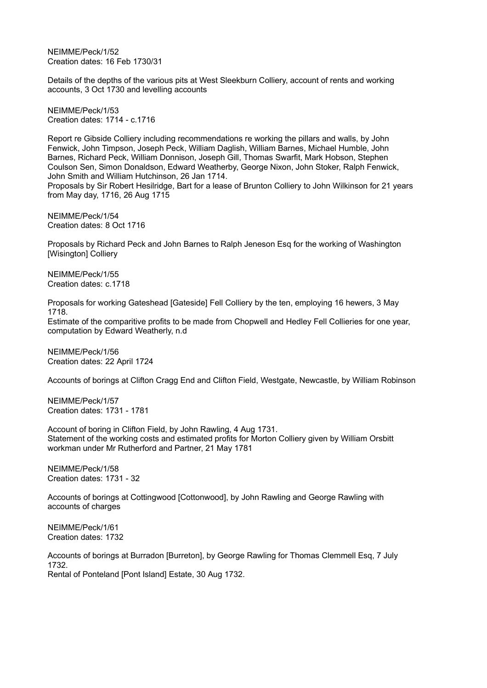NEIMME/Peck/1/52 Creation dates: 16 Feb 1730/31

Details of the depths of the various pits at West Sleekburn Colliery, account of rents and working accounts, 3 Oct 1730 and levelling accounts

NEIMME/Peck/1/53 Creation dates: 1714 - c.1716

Report re Gibside Colliery including recommendations re working the pillars and walls, by John Fenwick, John Timpson, Joseph Peck, William Daglish, William Barnes, Michael Humble, John Barnes, Richard Peck, William Donnison, Joseph Gill, Thomas Swarfit, Mark Hobson, Stephen Coulson Sen, Simon Donaldson, Edward Weatherby, George Nixon, John Stoker, Ralph Fenwick, John Smith and William Hutchinson, 26 Jan 1714.

Proposals by Sir Robert Hesilridge, Bart for a lease of Brunton Colliery to John Wilkinson for 21 years from May day, 1716, 26 Aug 1715

NEIMME/Peck/1/54 Creation dates: 8 Oct 1716

Proposals by Richard Peck and John Barnes to Ralph Jeneson Esq for the working of Washington [Wisington] Colliery

NEIMME/Peck/1/55 Creation dates: c.1718

Proposals for working Gateshead [Gateside] Fell Colliery by the ten, employing 16 hewers, 3 May 1718.

Estimate of the comparitive profits to be made from Chopwell and Hedley Fell Collieries for one year, computation by Edward Weatherly, n.d

NEIMME/Peck/1/56 Creation dates: 22 April 1724

Accounts of borings at Clifton Cragg End and Clifton Field, Westgate, Newcastle, by William Robinson

NEIMME/Peck/1/57 Creation dates: 1731 - 1781

Account of boring in Clifton Field, by John Rawling, 4 Aug 1731. Statement of the working costs and estimated profits for Morton Colliery given by William Orsbitt workman under Mr Rutherford and Partner, 21 May 1781

NEIMME/Peck/1/58 Creation dates: 1731 - 32

Accounts of borings at Cottingwood [Cottonwood], by John Rawling and George Rawling with accounts of charges

NEIMME/Peck/1/61 Creation dates: 1732

Accounts of borings at Burradon [Burreton], by George Rawling for Thomas Clemmell Esq, 7 July 1732. Rental of Ponteland [Pont Island] Estate, 30 Aug 1732.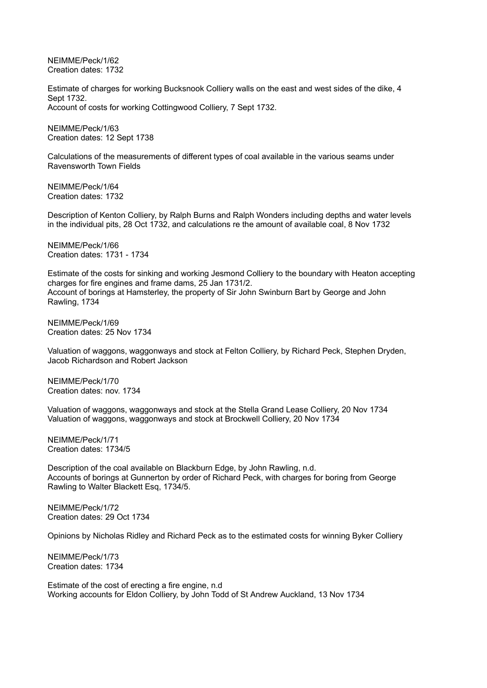NEIMME/Peck/1/62 Creation dates: 1732

Estimate of charges for working Bucksnook Colliery walls on the east and west sides of the dike, 4 Sept 1732. Account of costs for working Cottingwood Colliery, 7 Sept 1732.

NEIMME/Peck/1/63 Creation dates: 12 Sept 1738

Calculations of the measurements of different types of coal available in the various seams under Ravensworth Town Fields

NEIMME/Peck/1/64 Creation dates: 1732

Description of Kenton Colliery, by Ralph Burns and Ralph Wonders including depths and water levels in the individual pits, 28 Oct 1732, and calculations re the amount of available coal, 8 Nov 1732

NEIMME/Peck/1/66 Creation dates: 1731 - 1734

Estimate of the costs for sinking and working Jesmond Colliery to the boundary with Heaton accepting charges for fire engines and frame dams, 25 Jan 1731/2. Account of borings at Hamsterley, the property of Sir John Swinburn Bart by George and John Rawling, 1734

NEIMME/Peck/1/69 Creation dates: 25 Nov 1734

Valuation of waggons, waggonways and stock at Felton Colliery, by Richard Peck, Stephen Dryden, Jacob Richardson and Robert Jackson

NEIMME/Peck/1/70 Creation dates: nov. 1734

Valuation of waggons, waggonways and stock at the Stella Grand Lease Colliery, 20 Nov 1734 Valuation of waggons, waggonways and stock at Brockwell Colliery, 20 Nov 1734

NEIMME/Peck/1/71 Creation dates: 1734/5

Description of the coal available on Blackburn Edge, by John Rawling, n.d. Accounts of borings at Gunnerton by order of Richard Peck, with charges for boring from George Rawling to Walter Blackett Esq, 1734/5.

NEIMME/Peck/1/72 Creation dates: 29 Oct 1734

Opinions by Nicholas Ridley and Richard Peck as to the estimated costs for winning Byker Colliery

NEIMME/Peck/1/73 Creation dates: 1734

Estimate of the cost of erecting a fire engine, n.d Working accounts for Eldon Colliery, by John Todd of St Andrew Auckland, 13 Nov 1734